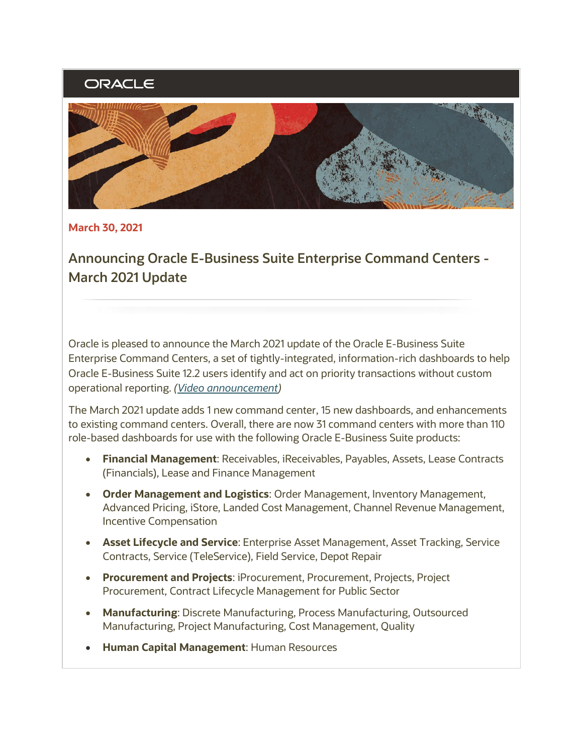# ORACLE



**March 30, 2021**

**Announcing Oracle E-Business Suite Enterprise Command Centers - March 2021 Update**

Oracle is pleased to announce the March 2021 update of the Oracle E-Business Suite Enterprise Command Centers, a set of tightly-integrated, information-rich dashboards to help Oracle E-Business Suite 12.2 users identify and act on priority transactions without custom operational reporting. *[\(Video announcement\)](https://learn.oracle.com/ols/course/50662/88071)*

The March 2021 update adds 1 new command center, 15 new dashboards, and enhancements to existing command centers. Overall, there are now 31 command centers with more than 110 role-based dashboards for use with the following Oracle E-Business Suite products:

- **Financial Management**: Receivables, iReceivables, Payables, Assets, Lease Contracts (Financials), Lease and Finance Management
- **Order Management and Logistics**: Order Management, Inventory Management, Advanced Pricing, iStore, Landed Cost Management, Channel Revenue Management, Incentive Compensation
- **Asset Lifecycle and Service**: Enterprise Asset Management, Asset Tracking, Service Contracts, Service (TeleService), Field Service, Depot Repair
- **Procurement and Projects**: iProcurement, Procurement, Projects, Project Procurement, Contract Lifecycle Management for Public Sector
- **Manufacturing**: Discrete Manufacturing, Process Manufacturing, Outsourced Manufacturing, Project Manufacturing, Cost Management, Quality
- **Human Capital Management**: Human Resources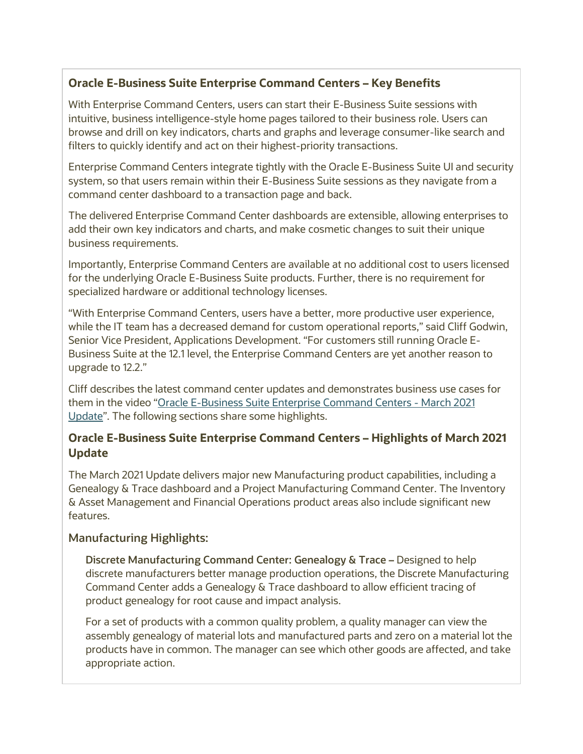## **Oracle E-Business Suite Enterprise Command Centers – Key Benefits**

With Enterprise Command Centers, users can start their E-Business Suite sessions with intuitive, business intelligence-style home pages tailored to their business role. Users can browse and drill on key indicators, charts and graphs and leverage consumer-like search and filters to quickly identify and act on their highest-priority transactions.

Enterprise Command Centers integrate tightly with the Oracle E-Business Suite UI and security system, so that users remain within their E-Business Suite sessions as they navigate from a command center dashboard to a transaction page and back.

The delivered Enterprise Command Center dashboards are extensible, allowing enterprises to add their own key indicators and charts, and make cosmetic changes to suit their unique business requirements.

Importantly, Enterprise Command Centers are available at no additional cost to users licensed for the underlying Oracle E-Business Suite products. Further, there is no requirement for specialized hardware or additional technology licenses.

"With Enterprise Command Centers, users have a better, more productive user experience, while the IT team has a decreased demand for custom operational reports," said Cliff Godwin, Senior Vice President, Applications Development. "For customers still running Oracle E-Business Suite at the 12.1 level, the Enterprise Command Centers are yet another reason to upgrade to 12.2."

Cliff describes the latest command center updates and demonstrates business use cases for them in the video "[Oracle E-Business Suite Enterprise Command Centers -](https://learn.oracle.com/ols/course/50662/88071) March 2021 [Update](https://learn.oracle.com/ols/course/50662/88071)". The following sections share some highlights.

### **Oracle E-Business Suite Enterprise Command Centers – Highlights of March 2021 Update**

The March 2021 Update delivers major new Manufacturing product capabilities, including a Genealogy & Trace dashboard and a Project Manufacturing Command Center. The Inventory & Asset Management and Financial Operations product areas also include significant new features.

#### **Manufacturing Highlights:**

**Discrete Manufacturing Command Center: Genealogy & Trace –** Designed to help discrete manufacturers better manage production operations, the Discrete Manufacturing Command Center adds a Genealogy & Trace dashboard to allow efficient tracing of product genealogy for root cause and impact analysis.

For a set of products with a common quality problem, a quality manager can view the assembly genealogy of material lots and manufactured parts and zero on a material lot the products have in common. The manager can see which other goods are affected, and take appropriate action.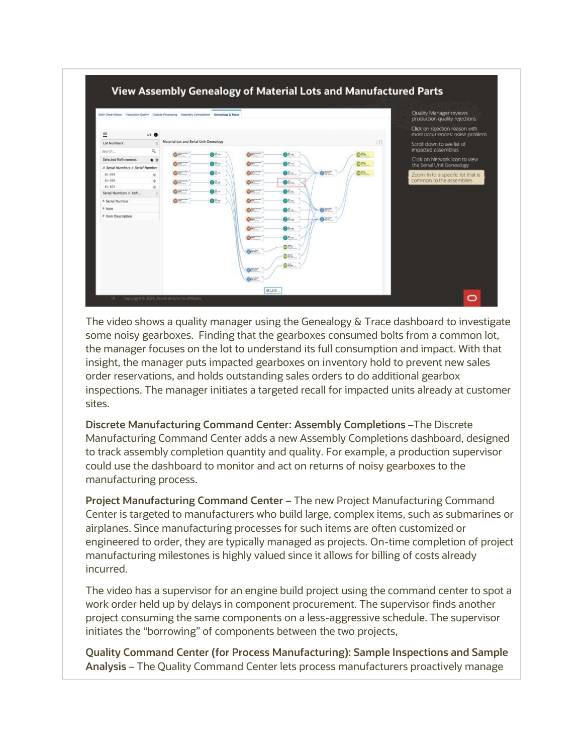

The video shows a quality manager using the Genealogy & Trace dashboard to investigate some noisy gearboxes. Finding that the gearboxes consumed bolts from a common lot, the manager focuses on the lot to understand its full consumption and impact. With that insight, the manager puts impacted gearboxes on inventory hold to prevent new sales order reservations, and holds outstanding sales orders to do additional gearbox inspections. The manager initiates a targeted recall for impacted units already at customer sites.

**Discrete Manufacturing Command Center: Assembly Completions –**The Discrete Manufacturing Command Center adds a new Assembly Completions dashboard, designed to track assembly completion quantity and quality. For example, a production supervisor could use the dashboard to monitor and act on returns of noisy gearboxes to the manufacturing process.

**Project Manufacturing Command Center –** The new Project Manufacturing Command Center is targeted to manufacturers who build large, complex items, such as submarines or airplanes. Since manufacturing processes for such items are often customized or engineered to order, they are typically managed as projects. On-time completion of project manufacturing milestones is highly valued since it allows for billing of costs already incurred.

The video has a supervisor for an engine build project using the command center to spot a work order held up by delays in component procurement. The supervisor finds another project consuming the same components on a less-aggressive schedule. The supervisor initiates the "borrowing" of components between the two projects,

**Quality Command Center (for Process Manufacturing): Sample Inspections and Sample Analysis** – The Quality Command Center lets process manufacturers proactively manage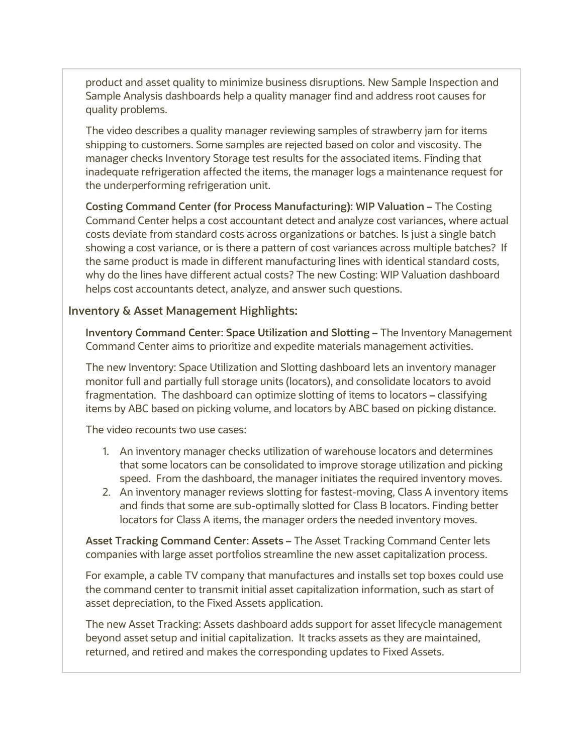product and asset quality to minimize business disruptions. New Sample Inspection and Sample Analysis dashboards help a quality manager find and address root causes for quality problems.

The video describes a quality manager reviewing samples of strawberry jam for items shipping to customers. Some samples are rejected based on color and viscosity. The manager checks Inventory Storage test results for the associated items. Finding that inadequate refrigeration affected the items, the manager logs a maintenance request for the underperforming refrigeration unit.

**Costing Command Center (for Process Manufacturing): WIP Valuation –** The Costing Command Center helps a cost accountant detect and analyze cost variances**,** where actual costs deviate from standard costs across organizations or batches. Is just a single batch showing a cost variance, or is there a pattern of cost variances across multiple batches? If the same product is made in different manufacturing lines with identical standard costs, why do the lines have different actual costs? The new Costing: WIP Valuation dashboard helps cost accountants detect, analyze, and answer such questions.

#### **Inventory & Asset Management Highlights:**

**Inventory Command Center: Space Utilization and Slotting –** The Inventory Management Command Center aims to prioritize and expedite materials management activities.

The new Inventory: Space Utilization and Slotting dashboard lets an inventory manager monitor full and partially full storage units (locators), and consolidate locators to avoid fragmentation. The dashboard can optimize slotting of items to locators **–** classifying items by ABC based on picking volume, and locators by ABC based on picking distance.

The video recounts two use cases:

- 1. An inventory manager checks utilization of warehouse locators and determines that some locators can be consolidated to improve storage utilization and picking speed. From the dashboard, the manager initiates the required inventory moves.
- 2. An inventory manager reviews slotting for fastest-moving, Class A inventory items and finds that some are sub-optimally slotted for Class B locators. Finding better locators for Class A items, the manager orders the needed inventory moves.

**Asset Tracking Command Center: Assets –** The Asset Tracking Command Center lets companies with large asset portfolios streamline the new asset capitalization process.

For example, a cable TV company that manufactures and installs set top boxes could use the command center to transmit initial asset capitalization information, such as start of asset depreciation, to the Fixed Assets application.

The new Asset Tracking: Assets dashboard adds support for asset lifecycle management beyond asset setup and initial capitalization. It tracks assets as they are maintained, returned, and retired and makes the corresponding updates to Fixed Assets.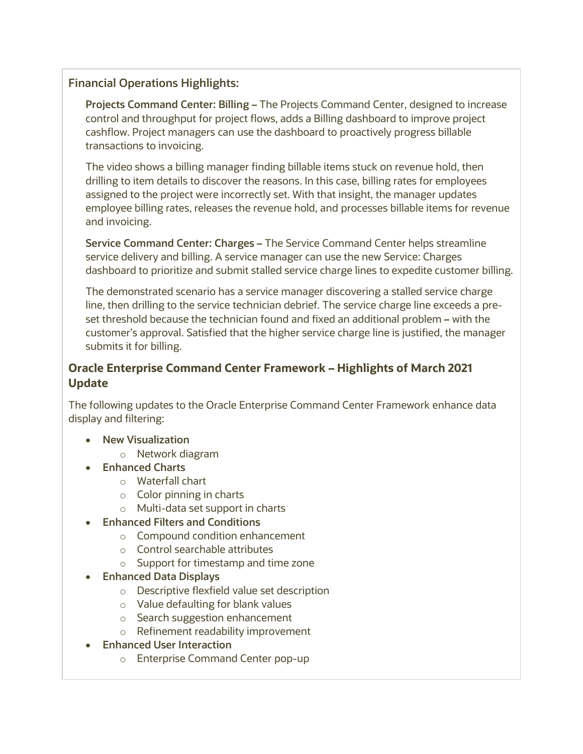### **Financial Operations Highlights:**

**Projects Command Center: Billing –** The Projects Command Center, designed to increase control and throughput for project flows, adds a Billing dashboard to improve project cashflow. Project managers can use the dashboard to proactively progress billable transactions to invoicing.

The video shows a billing manager finding billable items stuck on revenue hold, then drilling to item details to discover the reasons. In this case, billing rates for employees assigned to the project were incorrectly set. With that insight, the manager updates employee billing rates, releases the revenue hold, and processes billable items for revenue and invoicing.

**Service Command Center: Charges –** The Service Command Center helps streamline service delivery and billing. A service manager can use the new Service: Charges dashboard to prioritize and submit stalled service charge lines to expedite customer billing.

The demonstrated scenario has a service manager discovering a stalled service charge line, then drilling to the service technician debrief. The service charge line exceeds a preset threshold because the technician found and fixed an additional problem **–** with the customer's approval. Satisfied that the higher service charge line is justified, the manager submits it for billing.

#### **Oracle Enterprise Command Center Framework – Highlights of March 2021 Update**

The following updates to the Oracle Enterprise Command Center Framework enhance data display and filtering:

- **New Visualization**
	- o Network diagram
- **Enhanced Charts**
	- o Waterfall chart
	- $\circ$  Color pinning in charts
	- o Multi-data set support in charts
- **Enhanced Filters and Conditions**
	- o Compound condition enhancement
	- o Control searchable attributes
	- o Support for timestamp and time zone
- **Enhanced Data Displays**
	- o Descriptive flexfield value set description
	- o Value defaulting for blank values
	- o Search suggestion enhancement
	- o Refinement readability improvement
- **Enhanced User Interaction**
	- o Enterprise Command Center pop-up